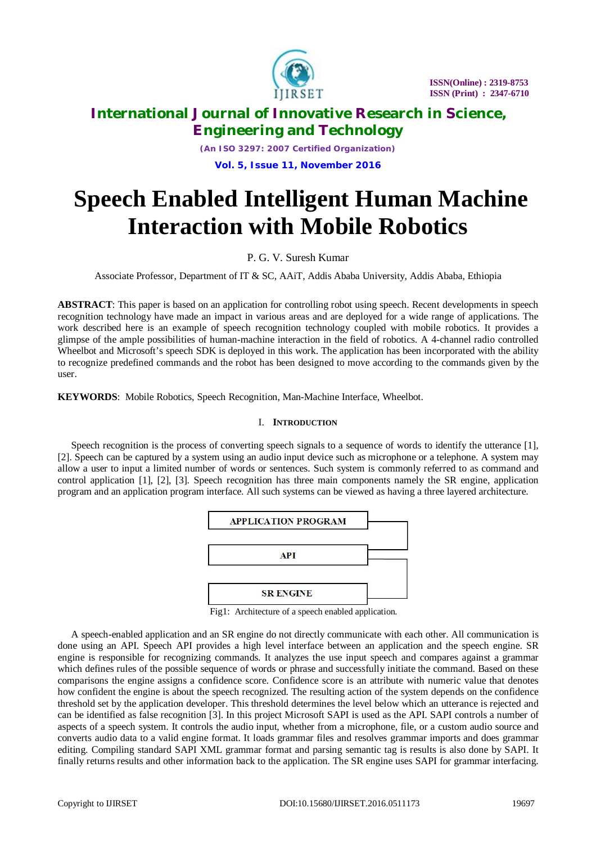

*(An ISO 3297: 2007 Certified Organization)* **Vol. 5, Issue 11, November 2016**

# **Speech Enabled Intelligent Human Machine Interaction with Mobile Robotics**

P. G. V. Suresh Kumar

Associate Professor, Department of IT & SC, AAiT, Addis Ababa University, Addis Ababa, Ethiopia

**ABSTRACT**: This paper is based on an application for controlling robot using speech. Recent developments in speech recognition technology have made an impact in various areas and are deployed for a wide range of applications. The work described here is an example of speech recognition technology coupled with mobile robotics. It provides a glimpse of the ample possibilities of human-machine interaction in the field of robotics. A 4-channel radio controlled Wheelbot and Microsoft's speech SDK is deployed in this work. The application has been incorporated with the ability to recognize predefined commands and the robot has been designed to move according to the commands given by the user.

**KEYWORDS**: Mobile Robotics, Speech Recognition, Man-Machine Interface, Wheelbot.

## I. **INTRODUCTION**

Speech recognition is the process of converting speech signals to a sequence of words to identify the utterance [1], [2]. Speech can be captured by a system using an audio input device such as microphone or a telephone. A system may allow a user to input a limited number of words or sentences. Such system is commonly referred to as command and control application [1], [2], [3]. Speech recognition has three main components namely the SR engine, application program and an application program interface. All such systems can be viewed as having a three layered architecture.



Fig1: Architecture of a speech enabled application.

A speech-enabled application and an SR engine do not directly communicate with each other. All communication is done using an API. Speech API provides a high level interface between an application and the speech engine. SR engine is responsible for recognizing commands. It analyzes the use input speech and compares against a grammar which defines rules of the possible sequence of words or phrase and successfully initiate the command. Based on these comparisons the engine assigns a confidence score. Confidence score is an attribute with numeric value that denotes how confident the engine is about the speech recognized. The resulting action of the system depends on the confidence threshold set by the application developer. This threshold determines the level below which an utterance is rejected and can be identified as false recognition [3]. In this project Microsoft SAPI is used as the API. SAPI controls a number of aspects of a speech system. It controls the audio input, whether from a microphone, file, or a custom audio source and converts audio data to a valid engine format. It loads grammar files and resolves grammar imports and does grammar editing. Compiling standard SAPI XML grammar format and parsing semantic tag is results is also done by SAPI. It finally returns results and other information back to the application. The SR engine uses SAPI for grammar interfacing.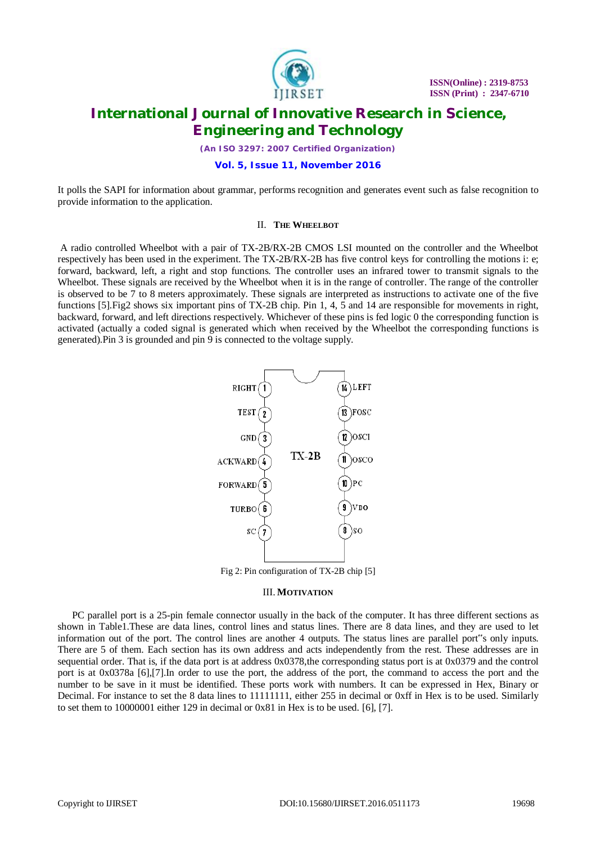

*(An ISO 3297: 2007 Certified Organization)*

#### **Vol. 5, Issue 11, November 2016**

It polls the SAPI for information about grammar, performs recognition and generates event such as false recognition to provide information to the application.

#### II. **THE WHEELBOT**

A radio controlled Wheelbot with a pair of TX-2B/RX-2B CMOS LSI mounted on the controller and the Wheelbot respectively has been used in the experiment. The TX-2B/RX-2B has five control keys for controlling the motions i: e; forward, backward, left, a right and stop functions. The controller uses an infrared tower to transmit signals to the Wheelbot. These signals are received by the Wheelbot when it is in the range of controller. The range of the controller is observed to be 7 to 8 meters approximately. These signals are interpreted as instructions to activate one of the five functions [5]. Fig2 shows six important pins of TX-2B chip. Pin 1, 4, 5 and 14 are responsible for movements in right, backward, forward, and left directions respectively. Whichever of these pins is fed logic 0 the corresponding function is activated (actually a coded signal is generated which when received by the Wheelbot the corresponding functions is generated).Pin 3 is grounded and pin 9 is connected to the voltage supply.



Fig 2: Pin configuration of TX-2B chip [5]

#### III. **MOTIVATION**

PC parallel port is a 25-pin female connector usually in the back of the computer. It has three different sections as shown in Table1.These are data lines, control lines and status lines. There are 8 data lines, and they are used to let information out of the port. The control lines are another 4 outputs. The status lines are parallel port"s only inputs. There are 5 of them. Each section has its own address and acts independently from the rest. These addresses are in sequential order. That is, if the data port is at address  $0x0378$ , the corresponding status port is at  $0x0379$  and the control port is at 0x0378a [6],[7].In order to use the port, the address of the port, the command to access the port and the number to be save in it must be identified. These ports work with numbers. It can be expressed in Hex, Binary or Decimal. For instance to set the 8 data lines to 11111111, either 255 in decimal or 0xff in Hex is to be used. Similarly to set them to 10000001 either 129 in decimal or 0x81 in Hex is to be used. [6], [7].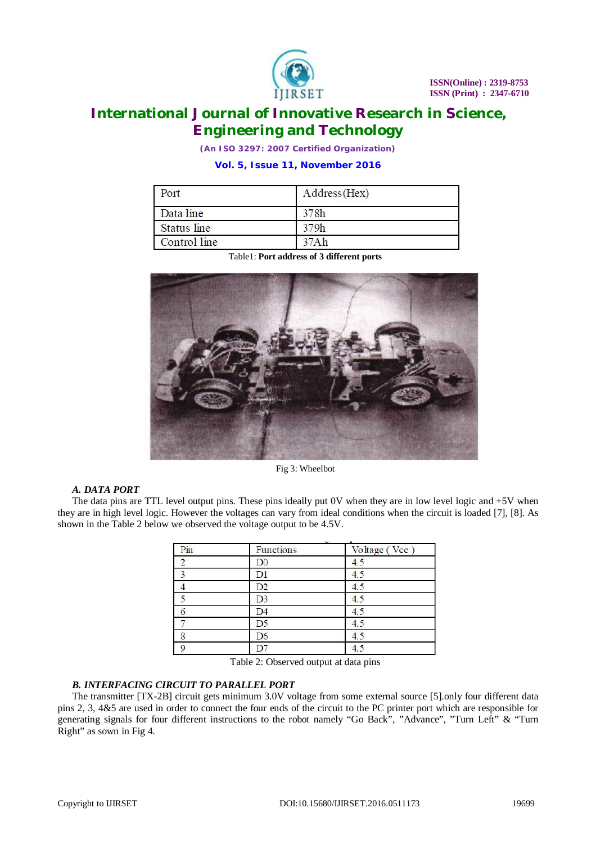

*(An ISO 3297: 2007 Certified Organization)*

# **Vol. 5, Issue 11, November 2016**

| Port         | Address (Hex) |  |
|--------------|---------------|--|
| Data line    | 378h          |  |
| Status line  | 379h          |  |
| Control line | 37Ah          |  |

Table1: **Port address of 3 different ports**



Fig 3: Wheelbot

# *A. DATA PORT*

The data pins are TTL level output pins. These pins ideally put 0V when they are in low level logic and +5V when they are in high level logic. However the voltages can vary from ideal conditions when the circuit is loaded [7], [8]. As shown in the Table 2 below we observed the voltage output to be 4.5V.

| Pin      | Functions      | Voltage (Vcc) |
|----------|----------------|---------------|
|          | D <sub>0</sub> | 4.5           |
|          | $_{\rm D1}$    | 4.5           |
|          | D2             | 4.5           |
|          | D <sub>3</sub> | 4.5           |
|          | D4             | 4.5           |
|          | D <sub>5</sub> | 4.5           |
| 8        | D6             | 4.5           |
| $\Omega$ |                | 4             |

Table 2: Observed output at data pins

# *B. INTERFACING CIRCUIT TO PARALLEL PORT*

The transmitter [TX-2B] circuit gets minimum 3.0V voltage from some external source [5].only four different data pins 2, 3, 4&5 are used in order to connect the four ends of the circuit to the PC printer port which are responsible for generating signals for four different instructions to the robot namely "Go Back", "Advance", "Turn Left" & "Turn Right" as sown in Fig 4.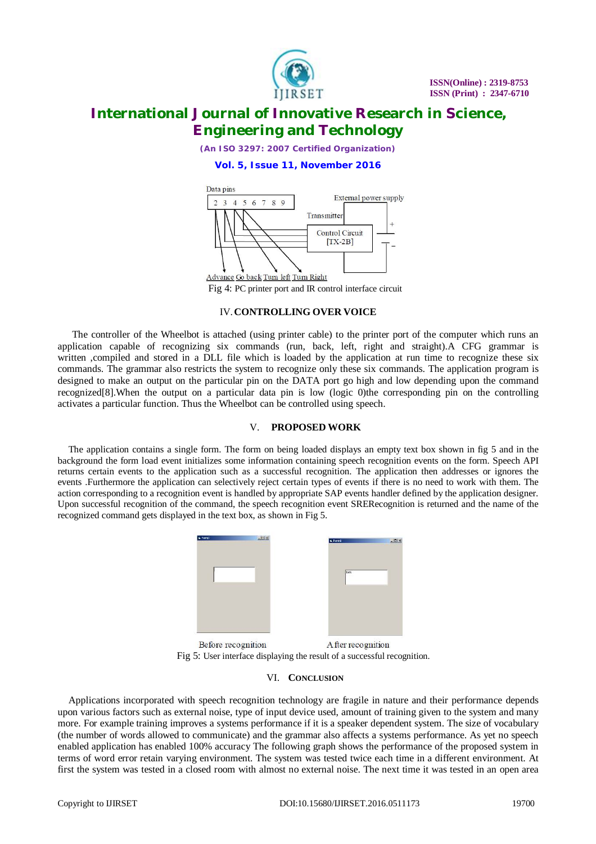

*(An ISO 3297: 2007 Certified Organization)*

## **Vol. 5, Issue 11, November 2016**



Fig 4: PC printer port and IR control interface circuit

## IV.**CONTROLLING OVER VOICE**

The controller of the Wheelbot is attached (using printer cable) to the printer port of the computer which runs an application capable of recognizing six commands (run, back, left, right and straight).A CFG grammar is written ,compiled and stored in a DLL file which is loaded by the application at run time to recognize these six commands. The grammar also restricts the system to recognize only these six commands. The application program is designed to make an output on the particular pin on the DATA port go high and low depending upon the command recognized[8].When the output on a particular data pin is low (logic 0)the corresponding pin on the controlling activates a particular function. Thus the Wheelbot can be controlled using speech.

## V. **PROPOSED WORK**

The application contains a single form. The form on being loaded displays an empty text box shown in fig 5 and in the background the form load event initializes some information containing speech recognition events on the form. Speech API returns certain events to the application such as a successful recognition. The application then addresses or ignores the events .Furthermore the application can selectively reject certain types of events if there is no need to work with them. The action corresponding to a recognition event is handled by appropriate SAP events handler defined by the application designer. Upon successful recognition of the command, the speech recognition event SRERecognition is returned and the name of the recognized command gets displayed in the text box, as shown in Fig 5.



Fig 5: User interface displaying the result of a successful recognition.

## VI. **CONCLUSION**

Applications incorporated with speech recognition technology are fragile in nature and their performance depends upon various factors such as external noise, type of input device used, amount of training given to the system and many more. For example training improves a systems performance if it is a speaker dependent system. The size of vocabulary (the number of words allowed to communicate) and the grammar also affects a systems performance. As yet no speech enabled application has enabled 100% accuracy The following graph shows the performance of the proposed system in terms of word error retain varying environment. The system was tested twice each time in a different environment. At first the system was tested in a closed room with almost no external noise. The next time it was tested in an open area